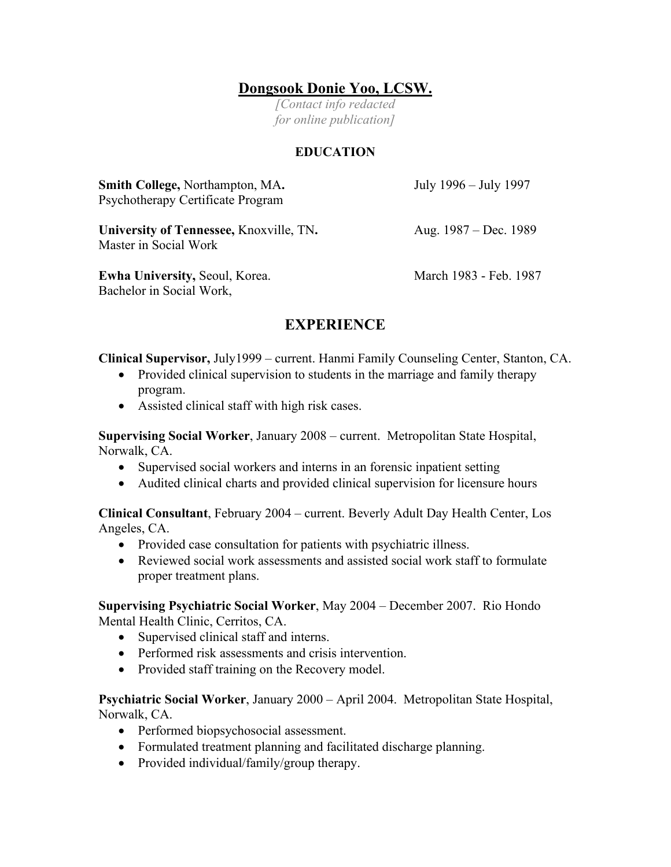## **Dongsook Donie Yoo, LCSW.**

*[Contact info redacted for online publication]*

## **EDUCATION**

| Smith College, Northampton, MA.<br>Psychotherapy Certificate Program | July 1996 – July 1997  |
|----------------------------------------------------------------------|------------------------|
| University of Tennessee, Knoxville, TN.<br>Master in Social Work     | Aug. 1987 – Dec. 1989  |
| <b>Ewha University, Seoul, Korea.</b><br>Bachelor in Social Work,    | March 1983 - Feb. 1987 |

## **EXPERIENCE**

**Clinical Supervisor,** July1999 – current. Hanmi Family Counseling Center, Stanton, CA.

- Provided clinical supervision to students in the marriage and family therapy program.
- Assisted clinical staff with high risk cases.

**Supervising Social Worker**, January 2008 – current. Metropolitan State Hospital, Norwalk, CA.

- Supervised social workers and interns in an forensic inpatient setting
- Audited clinical charts and provided clinical supervision for licensure hours

**Clinical Consultant**, February 2004 – current. Beverly Adult Day Health Center, Los Angeles, CA.

- Provided case consultation for patients with psychiatric illness.
- Reviewed social work assessments and assisted social work staff to formulate proper treatment plans.

**Supervising Psychiatric Social Worker**, May 2004 – December 2007. Rio Hondo Mental Health Clinic, Cerritos, CA.

- Supervised clinical staff and interns.
- Performed risk assessments and crisis intervention.
- Provided staff training on the Recovery model.

**Psychiatric Social Worker**, January 2000 – April 2004. Metropolitan State Hospital, Norwalk, CA.

- Performed biopsychosocial assessment.
- Formulated treatment planning and facilitated discharge planning.
- Provided individual/family/group therapy.